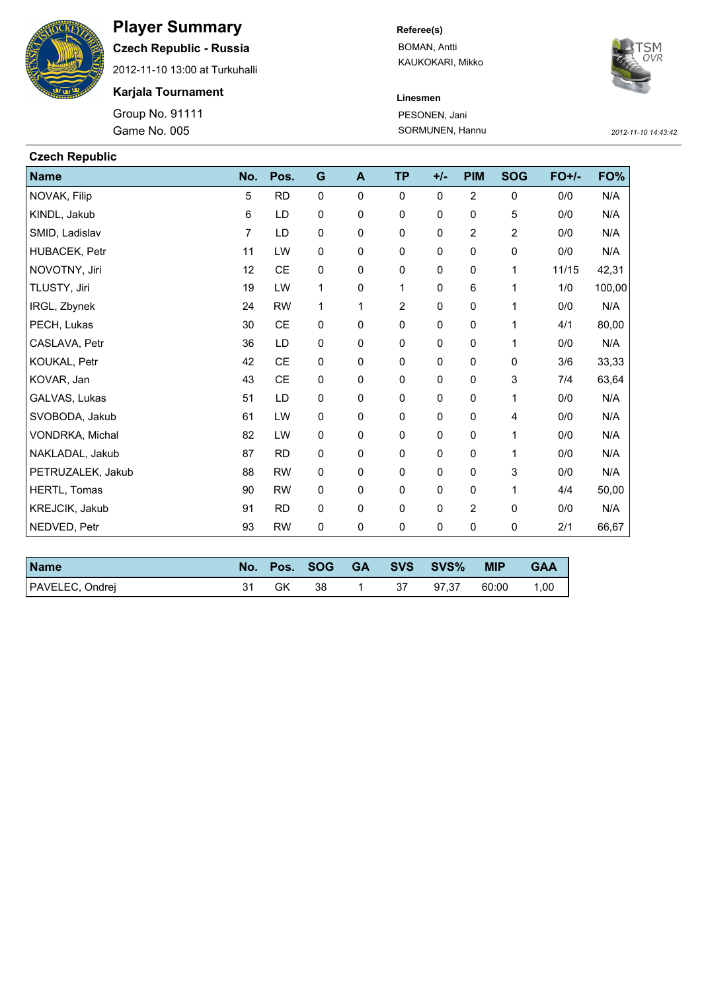

## **Player Summary**

**Czech Republic - Russia**

2012-11-10 13:00 at Turkuhalli

**Karjala Tournament**

Game No. 005 **SORMUNEN, Hannu** SORMUNEN, Hannu *2012-11-10 14:43:42* Group No. 91111

**Referee(s)**

BOMAN, Antti KAUKOKARI, Mikko



**Linesmen** PESONEN, Jani

| <b>Czech Republic</b> |                |           |             |             |                |             |                |                           |              |        |
|-----------------------|----------------|-----------|-------------|-------------|----------------|-------------|----------------|---------------------------|--------------|--------|
| <b>Name</b>           | No.            | Pos.      | G           | A           | <b>TP</b>      | $+/-$       | <b>PIM</b>     | <b>SOG</b>                | <b>FO+/-</b> | FO%    |
| NOVAK, Filip          | 5              | <b>RD</b> | $\mathbf 0$ | $\mathbf 0$ | $\Omega$       | 0           | $\overline{2}$ | 0                         | 0/0          | N/A    |
| KINDL, Jakub          | 6              | LD        | 0           | 0           | $\mathbf 0$    | $\mathbf 0$ | 0              | 5                         | 0/0          | N/A    |
| SMID, Ladislav        | $\overline{7}$ | LD        | $\pmb{0}$   | 0           | 0              | 0           | 2              | $\overline{2}$            | 0/0          | N/A    |
| HUBACEK, Petr         | 11             | LW        | 0           | 0           | 0              | 0           | 0              | $\pmb{0}$                 | 0/0          | N/A    |
| NOVOTNY, Jiri         | 12             | CE        | $\pmb{0}$   | 0           | $\pmb{0}$      | 0           | 0              | 1                         | 11/15        | 42,31  |
| TLUSTY, Jiri          | 19             | LW        | 1           | 0           | 1              | $\mathbf 0$ | 6              | 1                         | 1/0          | 100,00 |
| IRGL, Zbynek          | 24             | <b>RW</b> | 1           | 1           | $\overline{2}$ | $\mathbf 0$ | 0              | 1                         | 0/0          | N/A    |
| PECH, Lukas           | 30             | CE        | 0           | 0           | 0              | 0           | 0              | 1                         | 4/1          | 80,00  |
| CASLAVA, Petr         | 36             | LD        | 0           | 0           | 0              | 0           | 0              | 1                         | 0/0          | N/A    |
| KOUKAL, Petr          | 42             | CE        | 0           | 0           | $\mathbf 0$    | $\mathbf 0$ | 0              | 0                         | 3/6          | 33,33  |
| KOVAR, Jan            | 43             | CE        | 0           | 0           | 0              | 0           | 0              | $\ensuremath{\mathsf{3}}$ | 7/4          | 63,64  |
| GALVAS, Lukas         | 51             | LD        | $\mathbf 0$ | 0           | $\mathbf 0$    | $\mathbf 0$ | 0              | 1                         | 0/0          | N/A    |
| SVOBODA, Jakub        | 61             | LW        | 0           | 0           | 0              | 0           | 0              | 4                         | 0/0          | N/A    |
| VONDRKA, Michal       | 82             | LW        | $\mathbf 0$ | 0           | $\mathbf 0$    | $\mathbf 0$ | 0              | 1                         | 0/0          | N/A    |
| NAKLADAL, Jakub       | 87             | <b>RD</b> | 0           | 0           | 0              | 0           | 0              | 1                         | 0/0          | N/A    |
| PETRUZALEK, Jakub     | 88             | <b>RW</b> | 0           | 0           | $\mathbf 0$    | $\mathbf 0$ | 0              | 3                         | 0/0          | N/A    |
| HERTL, Tomas          | 90             | <b>RW</b> | 0           | 0           | 0              | 0           | 0              | 1                         | 4/4          | 50,00  |
| KREJCIK, Jakub        | 91             | <b>RD</b> | 0           | 0           | $\mathbf 0$    | $\mathbf 0$ | $\overline{2}$ | 0                         | 0/0          | N/A    |
| NEDVED, Petr          | 93             | <b>RW</b> | 0           | 0           | 0              | 0           | 0              | 0                         | 2/1          | 66,67  |

| <b>Name</b>     | No. . |    | Pos. SOG |    | GA SVS SVS% | <b>MIP</b> | <b>GAA</b> |
|-----------------|-------|----|----------|----|-------------|------------|------------|
| PAVELEC, Ondrej |       | GK | 38       | 37 | 97.37       | 60:00      | 1,00       |